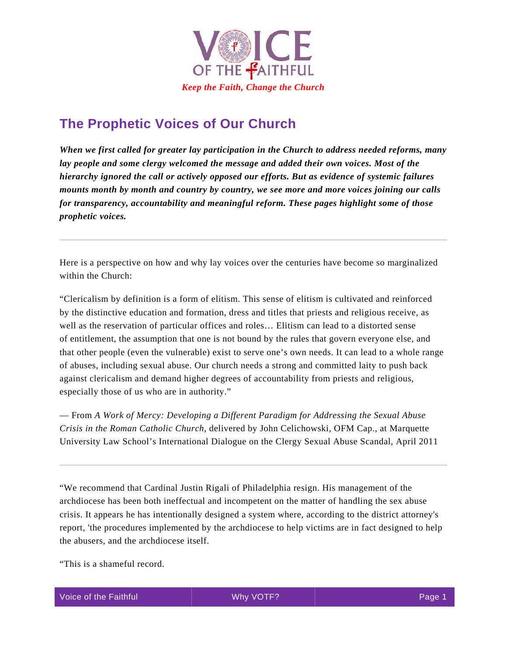

## **The Prophetic Voices of Our Church**

*When we first called for greater lay participation in the Church to address needed reforms, many lay people and some clergy welcomed the message and added their own voices. Most of the hierarchy ignored the call or actively opposed our efforts. But as evidence of systemic failures mounts month by month and country by country, we see more and more voices joining our calls for transparency, accountability and meaningful reform. These pages highlight some of those prophetic voices.* 

Here is a perspective on how and why lay voices over the centuries have become so marginalized within the Church:

"Clericalism by definition is a form of elitism. This sense of elitism is cultivated and reinforced by the distinctive education and formation, dress and titles that priests and religious receive, as well as the reservation of particular offices and roles… Elitism can lead to a distorted sense of entitlement, the assumption that one is not bound by the rules that govern everyone else, and that other people (even the vulnerable) exist to serve one's own needs. It can lead to a whole range of abuses, including sexual abuse. Our church needs a strong and committed laity to push back against clericalism and demand higher degrees of accountability from priests and religious, especially those of us who are in authority."

— From *A Work of Mercy: Developing a Different Paradigm for Addressing the Sexual Abuse Crisis in the Roman Catholic Church,* delivered by John Celichowski, OFM Cap., at Marquette University Law School's International Dialogue on the Clergy Sexual Abuse Scandal, April 2011

"We recommend that Cardinal Justin Rigali of Philadelphia resign. His management of the archdiocese has been both ineffectual and incompetent on the matter of handling the sex abuse crisis. It appears he has intentionally designed a system where, according to the district attorney's report, 'the procedures implemented by the archdiocese to help victims are in fact designed to help the abusers, and the archdiocese itself.

"This is a shameful record.

Voice of the Faithful **Page 1 Page 1 Page 1 Page 1 Page 1 Page 1**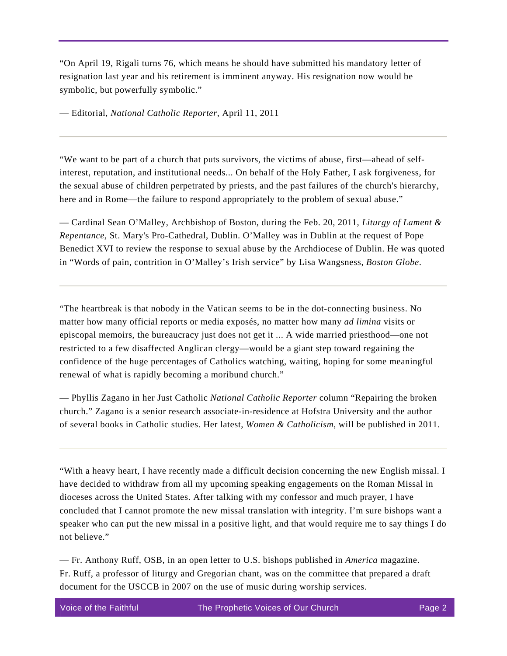"On April 19, Rigali turns 76, which means he should have submitted his mandatory letter of resignation last year and his retirement is imminent anyway. His resignation now would be symbolic, but powerfully symbolic."

— Editorial, *National Catholic Reporter*, April 11, 2011

"We want to be part of a church that puts survivors, the victims of abuse, first—ahead of selfinterest, reputation, and institutional needs... On behalf of the Holy Father, I ask forgiveness, for the sexual abuse of children perpetrated by priests, and the past failures of the church's hierarchy, here and in Rome—the failure to respond appropriately to the problem of sexual abuse."

— Cardinal Sean O'Malley, Archbishop of Boston, during the Feb. 20, 2011, *Liturgy of Lament & Repentance,* St. Mary's Pro-Cathedral, Dublin. O'Malley was in Dublin at the request of Pope Benedict XVI to review the response to sexual abuse by the Archdiocese of Dublin. He was quoted in "Words of pain, contrition in O'Malley's Irish service" by Lisa Wangsness, *Boston Globe*.

"The heartbreak is that nobody in the Vatican seems to be in the dot-connecting business. No matter how many official reports or media exposés, no matter how many *ad limina* visits or episcopal memoirs, the bureaucracy just does not get it ... A wide married priesthood—one not restricted to a few disaffected Anglican clergy—would be a giant step toward regaining the confidence of the huge percentages of Catholics watching, waiting, hoping for some meaningful renewal of what is rapidly becoming a moribund church."

— Phyllis Zagano in her Just Catholic *National Catholic Reporter* column "Repairing the broken church." Zagano is a senior research associate-in-residence at Hofstra University and the author of several books in Catholic studies. Her latest, *Women & Catholicism*, will be published in 2011.

"With a heavy heart, I have recently made a difficult decision concerning the new English missal. I have decided to withdraw from all my upcoming speaking engagements on the Roman Missal in dioceses across the United States. After talking with my confessor and much prayer, I have concluded that I cannot promote the new missal translation with integrity. I'm sure bishops want a speaker who can put the new missal in a positive light, and that would require me to say things I do not believe."

— Fr. Anthony Ruff, OSB, in an open letter to U.S. bishops published in *America* magazine. Fr. Ruff, a professor of liturgy and Gregorian chant, was on the committee that prepared a draft document for the USCCB in 2007 on the use of music during worship services.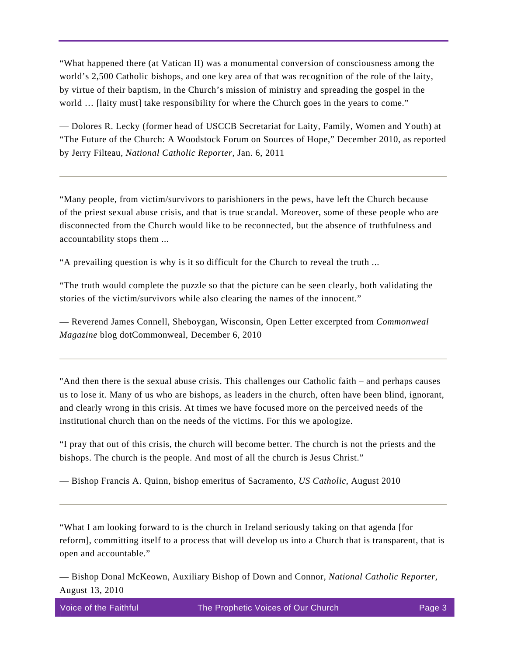"What happened there (at Vatican II) was a monumental conversion of consciousness among the world's 2,500 Catholic bishops, and one key area of that was recognition of the role of the laity, by virtue of their baptism, in the Church's mission of ministry and spreading the gospel in the world ... [laity must] take responsibility for where the Church goes in the years to come."

— Dolores R. Lecky (former head of USCCB Secretariat for Laity, Family, Women and Youth) at "The Future of the Church: A Woodstock Forum on Sources of Hope," December 2010, as reported by Jerry Filteau, *National Catholic Reporter*, Jan. 6, 2011

"Many people, from victim/survivors to parishioners in the pews, have left the Church because of the priest sexual abuse crisis, and that is true scandal. Moreover, some of these people who are disconnected from the Church would like to be reconnected, but the absence of truthfulness and accountability stops them ...

"A prevailing question is why is it so difficult for the Church to reveal the truth ...

"The truth would complete the puzzle so that the picture can be seen clearly, both validating the stories of the victim/survivors while also clearing the names of the innocent."

— Reverend James Connell, Sheboygan, Wisconsin, Open Letter excerpted from *Commonweal Magazine* blog dotCommonweal, December 6, 2010

"And then there is the sexual abuse crisis. This challenges our Catholic faith – and perhaps causes us to lose it. Many of us who are bishops, as leaders in the church, often have been blind, ignorant, and clearly wrong in this crisis. At times we have focused more on the perceived needs of the institutional church than on the needs of the victims. For this we apologize.

"I pray that out of this crisis, the church will become better. The church is not the priests and the bishops. The church is the people. And most of all the church is Jesus Christ."

— Bishop Francis A. Quinn, bishop emeritus of Sacramento, *US Catholic*, August 2010

"What I am looking forward to is the church in Ireland seriously taking on that agenda [for reform], committing itself to a process that will develop us into a Church that is transparent, that is open and accountable."

— Bishop Donal McKeown, Auxiliary Bishop of Down and Connor, *National Catholic Reporter*, August 13, 2010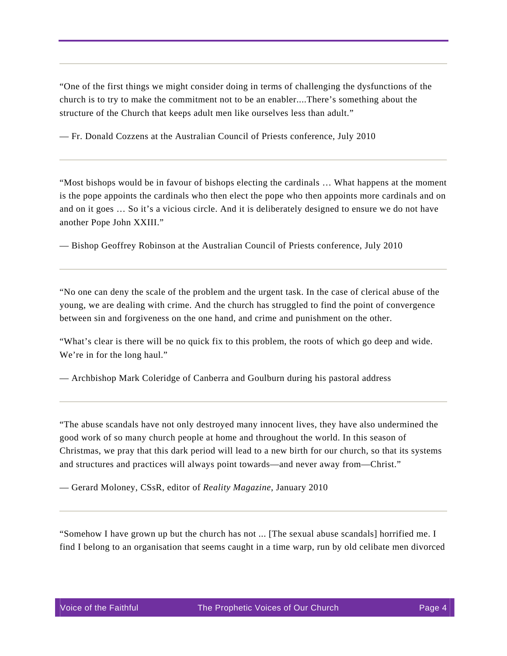"One of the first things we might consider doing in terms of challenging the dysfunctions of the church is to try to make the commitment not to be an enabler....There's something about the structure of the Church that keeps adult men like ourselves less than adult."

— Fr. Donald Cozzens at the Australian Council of Priests conference, July 2010

"Most bishops would be in favour of bishops electing the cardinals … What happens at the moment is the pope appoints the cardinals who then elect the pope who then appoints more cardinals and on and on it goes … So it's a vicious circle. And it is deliberately designed to ensure we do not have another Pope John XXIII."

— Bishop Geoffrey Robinson at the Australian Council of Priests conference, July 2010

"No one can deny the scale of the problem and the urgent task. In the case of clerical abuse of the young, we are dealing with crime. And the church has struggled to find the point of convergence between sin and forgiveness on the one hand, and crime and punishment on the other.

"What's clear is there will be no quick fix to this problem, the roots of which go deep and wide. We're in for the long haul."

— Archbishop Mark Coleridge of Canberra and Goulburn during his pastoral address

"The abuse scandals have not only destroyed many innocent lives, they have also undermined the good work of so many church people at home and throughout the world. In this season of Christmas, we pray that this dark period will lead to a new birth for our church, so that its systems and structures and practices will always point towards—and never away from—Christ."

— Gerard Moloney, CSsR, editor of *Reality Magazine*, January 2010

"Somehow I have grown up but the church has not ... [The sexual abuse scandals] horrified me. I find I belong to an organisation that seems caught in a time warp, run by old celibate men divorced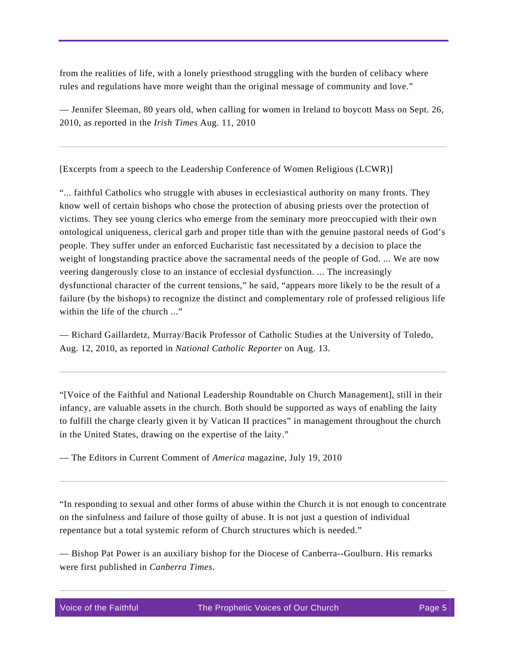from the realities of life, with a lonely priesthood struggling with the burden of celibacy where rules and regulations have more weight than the original message of community and love."

— Jennifer Sleeman, 80 years old, when calling for women in Ireland to boycott Mass on Sept. 26, 2010, as reported in the *Irish Times* Aug. 11, 2010

[Excerpts from a speech to the Leadership Conference of Women Religious (LCWR)]

"... faithful Catholics who struggle with abuses in ecclesiastical authority on many fronts. They know well of certain bishops who chose the protection of abusing priests over the protection of victims. They see young clerics who emerge from the seminary more preoccupied with their own ontological uniqueness, clerical garb and proper title than with the genuine pastoral needs of God's people. They suffer under an enforced Eucharistic fast necessitated by a decision to place the weight of longstanding practice above the sacramental needs of the people of God. ... We are now veering dangerously close to an instance of ecclesial dysfunction. ... The increasingly dysfunctional character of the current tensions," he said, "appears more likely to be the result of a failure (by the bishops) to recognize the distinct and complementary role of professed religious life within the life of the church ..."

— Richard Gaillardetz, Murray/Bacik Professor of Catholic Studies at the University of Toledo, Aug. 12, 2010, as reported in *National Catholic Reporter* on Aug. 13.

"[Voice of the Faithful and National Leadership Roundtable on Church Management], still in their infancy, are valuable assets in the church. Both should be supported as ways of enabling the laity to fulfill the charge clearly given it by Vatican II practices" in management throughout the church in the United States, drawing on the expertise of the laity."

— The Editors in Current Comment of *America* magazine, July 19, 2010

"In responding to sexual and other forms of abuse within the Church it is not enough to concentrate on the sinfulness and failure of those guilty of abuse. It is not just a question of individual repentance but a total systemic reform of Church structures which is needed."

— Bishop Pat Power is an auxiliary bishop for the Diocese of Canberra--Goulburn. His remarks were first published in *Canberra Times*.